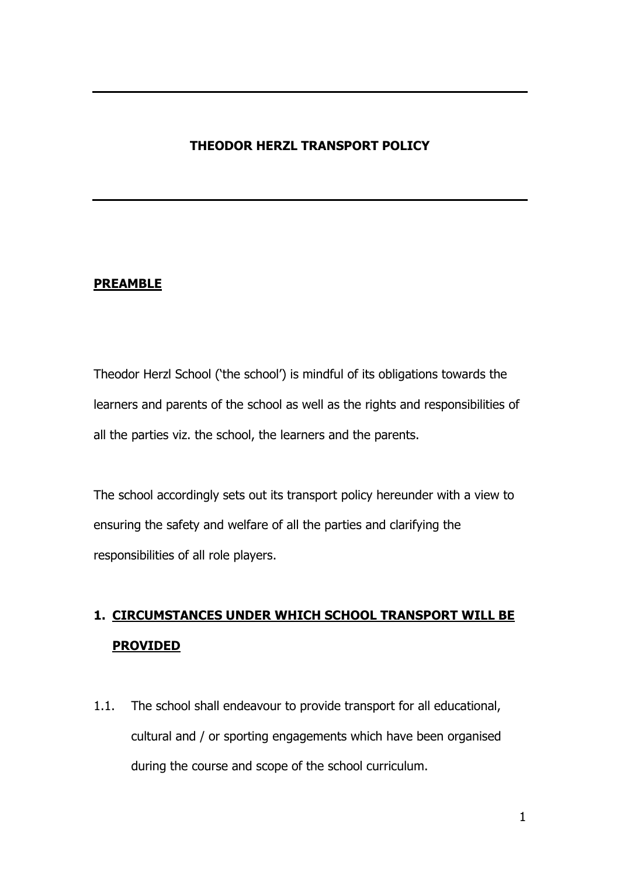# **THEODOR HERZL TRANSPORT POLICY**

#### **PREAMBLE**

Theodor Herzl School ('the school') is mindful of its obligations towards the learners and parents of the school as well as the rights and responsibilities of all the parties viz. the school, the learners and the parents.

The school accordingly sets out its transport policy hereunder with a view to ensuring the safety and welfare of all the parties and clarifying the responsibilities of all role players.

# **1. CIRCUMSTANCES UNDER WHICH SCHOOL TRANSPORT WILL BE PROVIDED**

1.1. The school shall endeavour to provide transport for all educational, cultural and / or sporting engagements which have been organised during the course and scope of the school curriculum.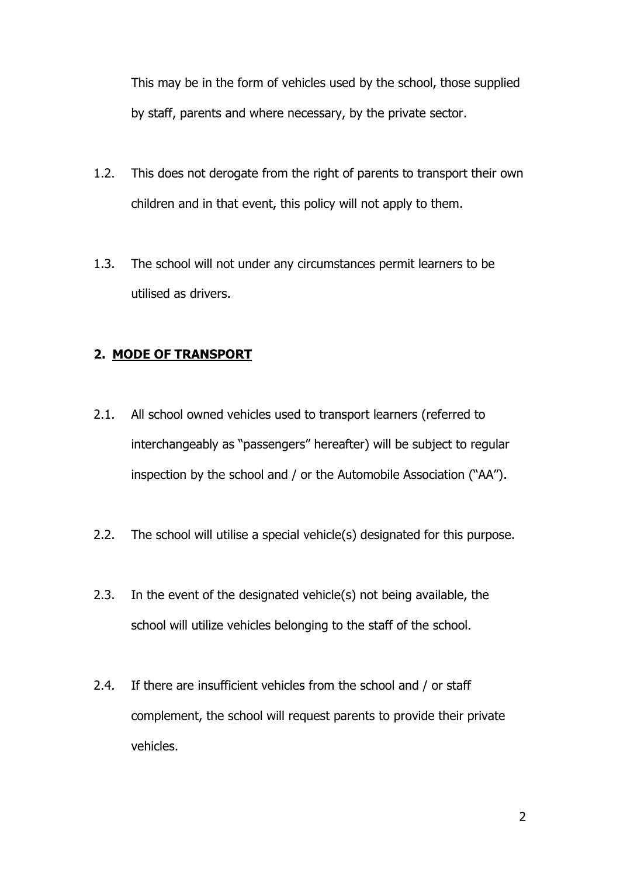This may be in the form of vehicles used by the school, those supplied by staff, parents and where necessary, by the private sector.

- 1.2. This does not derogate from the right of parents to transport their own children and in that event, this policy will not apply to them.
- 1.3. The school will not under any circumstances permit learners to be utilised as drivers.

### **2. MODE OF TRANSPORT**

- 2.1. All school owned vehicles used to transport learners (referred to interchangeably as "passengers" hereafter) will be subject to regular inspection by the school and / or the Automobile Association ("AA").
- 2.2. The school will utilise a special vehicle(s) designated for this purpose.
- 2.3. In the event of the designated vehicle(s) not being available, the school will utilize vehicles belonging to the staff of the school.
- 2.4. If there are insufficient vehicles from the school and / or staff complement, the school will request parents to provide their private vehicles.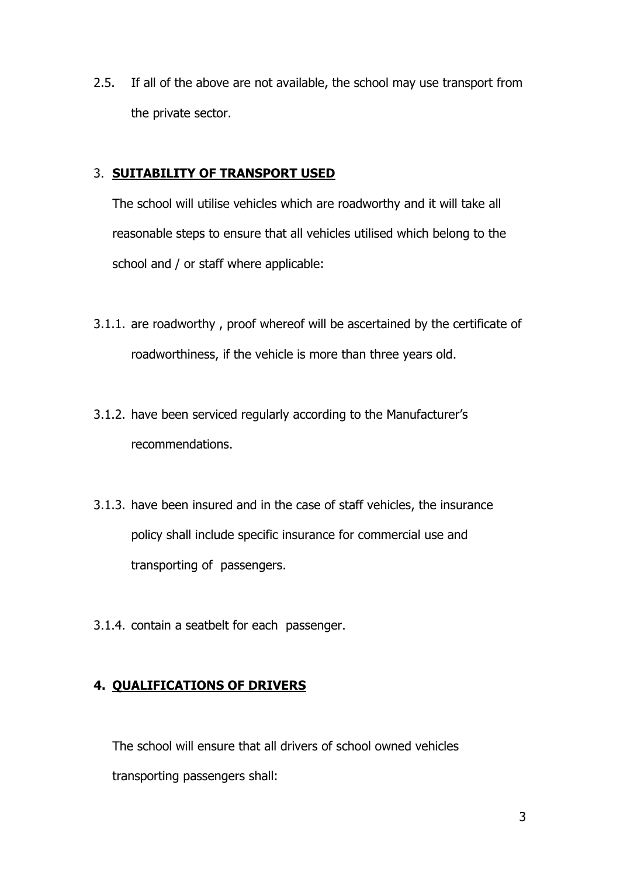2.5. If all of the above are not available, the school may use transport from the private sector.

### 3. **SUITABILITY OF TRANSPORT USED**

The school will utilise vehicles which are roadworthy and it will take all reasonable steps to ensure that all vehicles utilised which belong to the school and / or staff where applicable:

- 3.1.1. are roadworthy , proof whereof will be ascertained by the certificate of roadworthiness, if the vehicle is more than three years old.
- 3.1.2. have been serviced regularly according to the Manufacturer's recommendations.
- 3.1.3. have been insured and in the case of staff vehicles, the insurance policy shall include specific insurance for commercial use and transporting of passengers.
- 3.1.4. contain a seatbelt for each passenger.

## **4. QUALIFICATIONS OF DRIVERS**

The school will ensure that all drivers of school owned vehicles transporting passengers shall: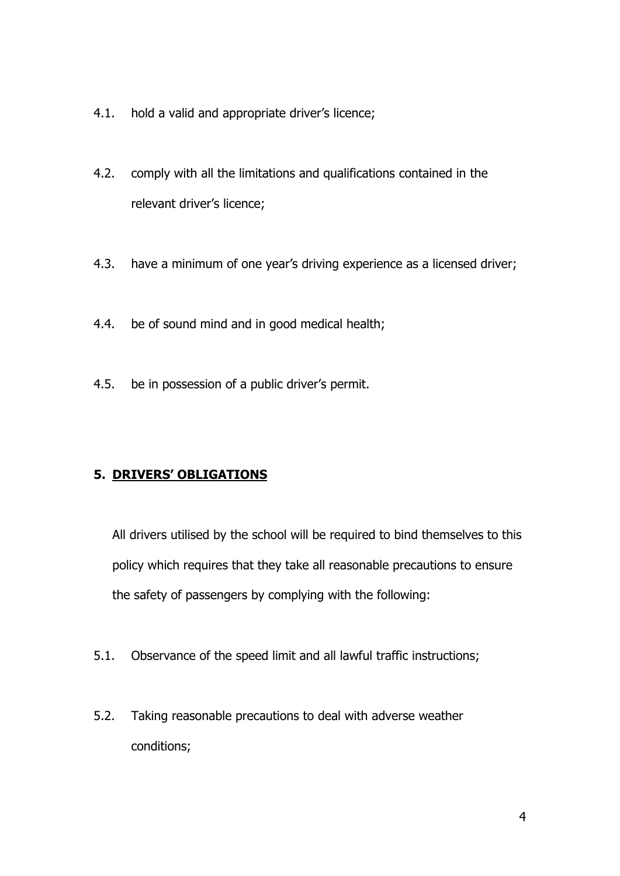- 4.1. hold a valid and appropriate driver's licence;
- 4.2. comply with all the limitations and qualifications contained in the relevant driver's licence;
- 4.3. have a minimum of one year's driving experience as a licensed driver;
- 4.4. be of sound mind and in good medical health;
- 4.5. be in possession of a public driver's permit.

## **5. DRIVERS' OBLIGATIONS**

All drivers utilised by the school will be required to bind themselves to this policy which requires that they take all reasonable precautions to ensure the safety of passengers by complying with the following:

- 5.1. Observance of the speed limit and all lawful traffic instructions;
- 5.2. Taking reasonable precautions to deal with adverse weather conditions;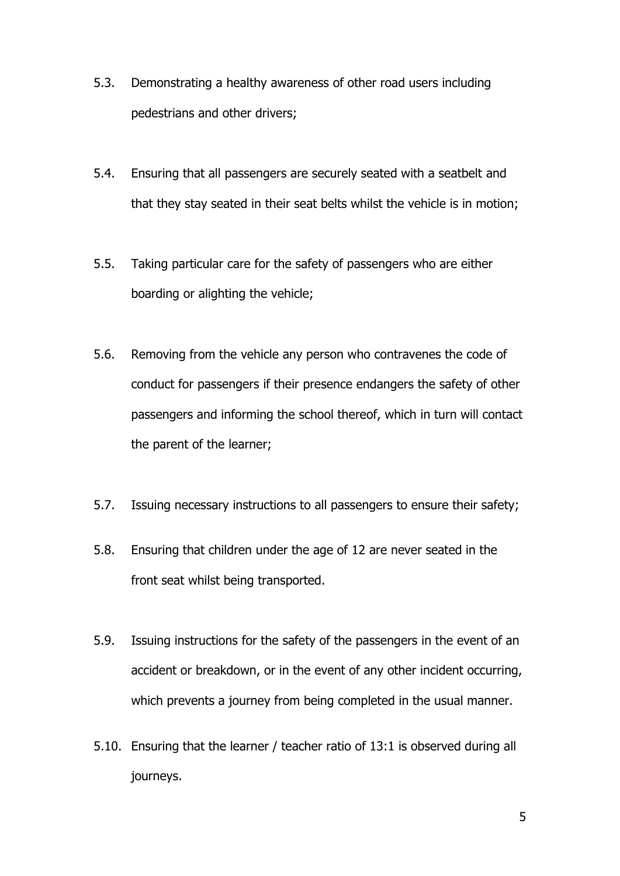- 5.3. Demonstrating a healthy awareness of other road users including pedestrians and other drivers;
- 5.4. Ensuring that all passengers are securely seated with a seatbelt and that they stay seated in their seat belts whilst the vehicle is in motion;
- 5.5. Taking particular care for the safety of passengers who are either boarding or alighting the vehicle;
- 5.6. Removing from the vehicle any person who contravenes the code of conduct for passengers if their presence endangers the safety of other passengers and informing the school thereof, which in turn will contact the parent of the learner;
- 5.7. Issuing necessary instructions to all passengers to ensure their safety;
- 5.8. Ensuring that children under the age of 12 are never seated in the front seat whilst being transported.
- 5.9. Issuing instructions for the safety of the passengers in the event of an accident or breakdown, or in the event of any other incident occurring, which prevents a journey from being completed in the usual manner.
- 5.10. Ensuring that the learner / teacher ratio of 13:1 is observed during all journeys.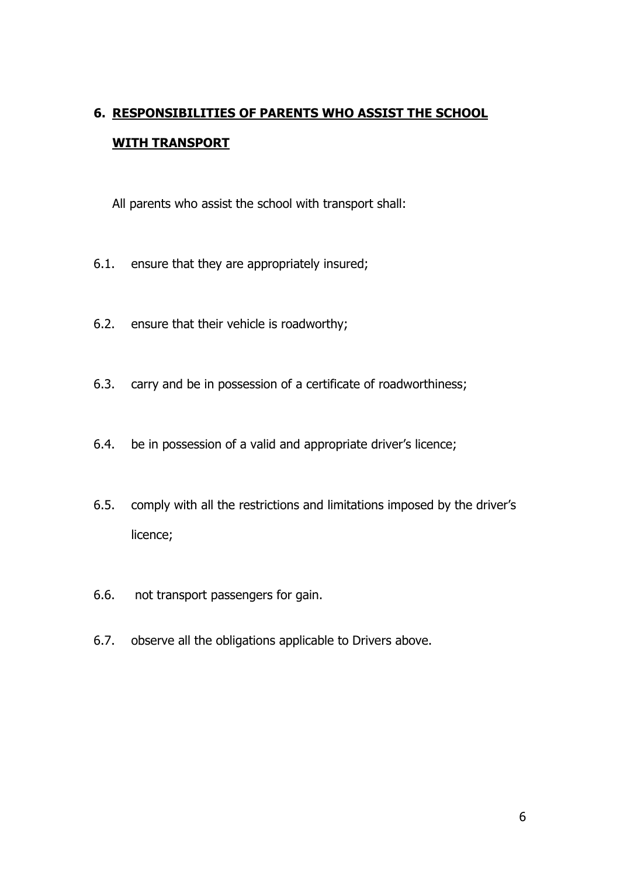# **6. RESPONSIBILITIES OF PARENTS WHO ASSIST THE SCHOOL WITH TRANSPORT**

All parents who assist the school with transport shall:

- 6.1. ensure that they are appropriately insured;
- 6.2. ensure that their vehicle is roadworthy;
- 6.3. carry and be in possession of a certificate of roadworthiness;
- 6.4. be in possession of a valid and appropriate driver's licence;
- 6.5. comply with all the restrictions and limitations imposed by the driver's licence;
- 6.6. not transport passengers for gain.
- 6.7. observe all the obligations applicable to Drivers above.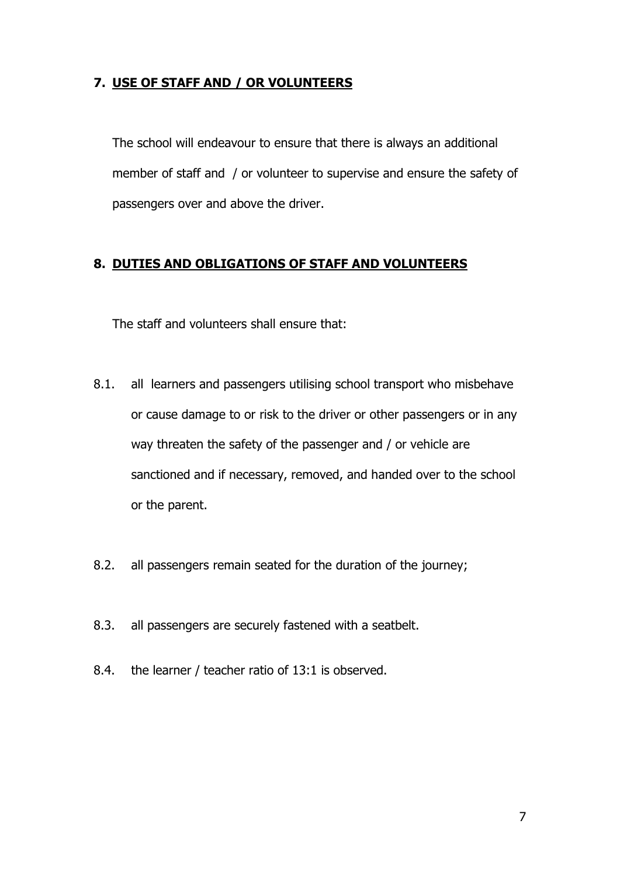### **7. USE OF STAFF AND / OR VOLUNTEERS**

The school will endeavour to ensure that there is always an additional member of staff and / or volunteer to supervise and ensure the safety of passengers over and above the driver.

### **8. DUTIES AND OBLIGATIONS OF STAFF AND VOLUNTEERS**

The staff and volunteers shall ensure that:

- 8.1. all learners and passengers utilising school transport who misbehave or cause damage to or risk to the driver or other passengers or in any way threaten the safety of the passenger and / or vehicle are sanctioned and if necessary, removed, and handed over to the school or the parent.
- 8.2. all passengers remain seated for the duration of the journey;
- 8.3. all passengers are securely fastened with a seatbelt.
- 8.4. the learner / teacher ratio of 13:1 is observed.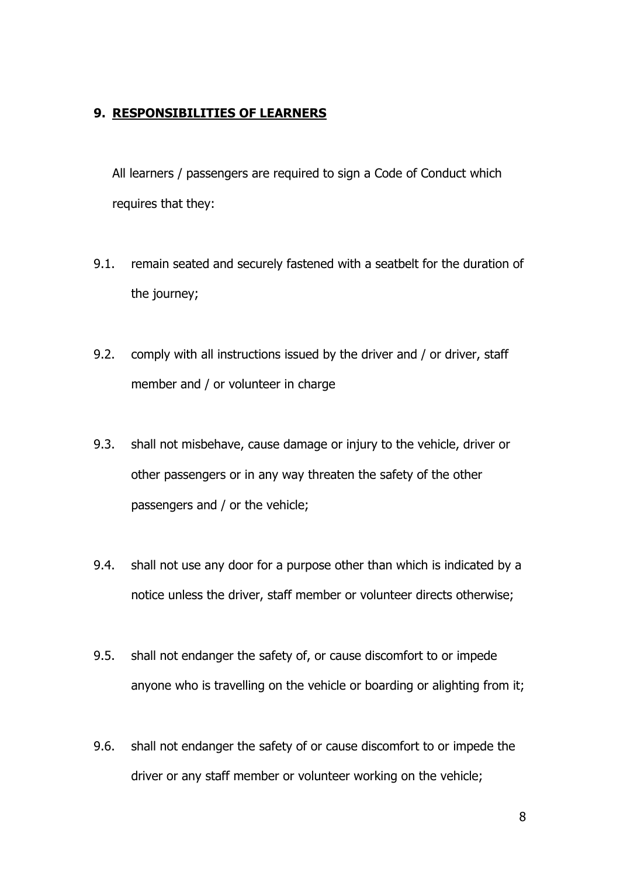### **9. RESPONSIBILITIES OF LEARNERS**

All learners / passengers are required to sign a Code of Conduct which requires that they:

- 9.1. remain seated and securely fastened with a seatbelt for the duration of the journey;
- 9.2. comply with all instructions issued by the driver and / or driver, staff member and / or volunteer in charge
- 9.3. shall not misbehave, cause damage or injury to the vehicle, driver or other passengers or in any way threaten the safety of the other passengers and / or the vehicle;
- 9.4. shall not use any door for a purpose other than which is indicated by a notice unless the driver, staff member or volunteer directs otherwise;
- 9.5. shall not endanger the safety of, or cause discomfort to or impede anyone who is travelling on the vehicle or boarding or alighting from it;
- 9.6. shall not endanger the safety of or cause discomfort to or impede the driver or any staff member or volunteer working on the vehicle;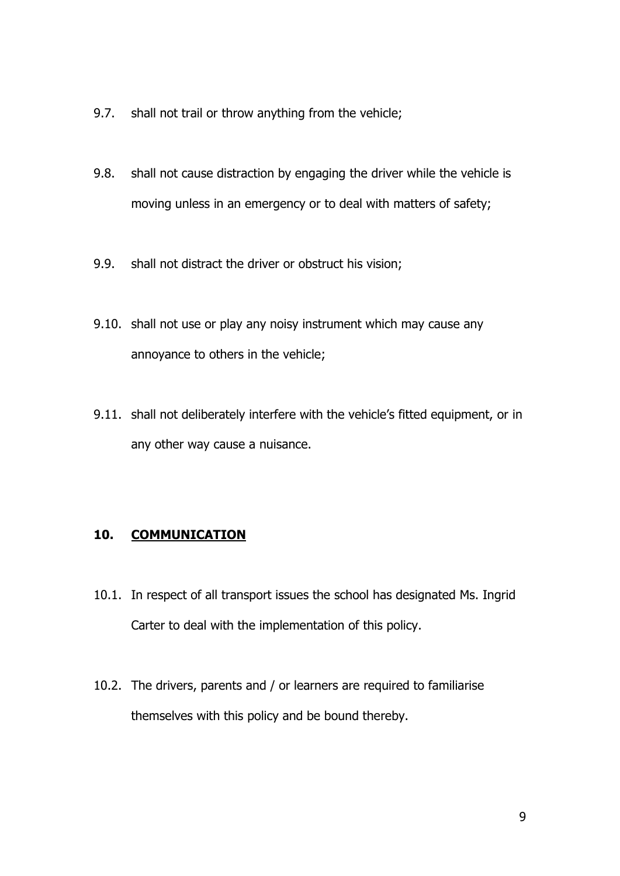- 9.7. shall not trail or throw anything from the vehicle;
- 9.8. shall not cause distraction by engaging the driver while the vehicle is moving unless in an emergency or to deal with matters of safety;
- 9.9. shall not distract the driver or obstruct his vision;
- 9.10. shall not use or play any noisy instrument which may cause any annoyance to others in the vehicle;
- 9.11. shall not deliberately interfere with the vehicle's fitted equipment, or in any other way cause a nuisance.

#### **10. COMMUNICATION**

- 10.1. In respect of all transport issues the school has designated Ms. Ingrid Carter to deal with the implementation of this policy.
- 10.2. The drivers, parents and / or learners are required to familiarise themselves with this policy and be bound thereby.